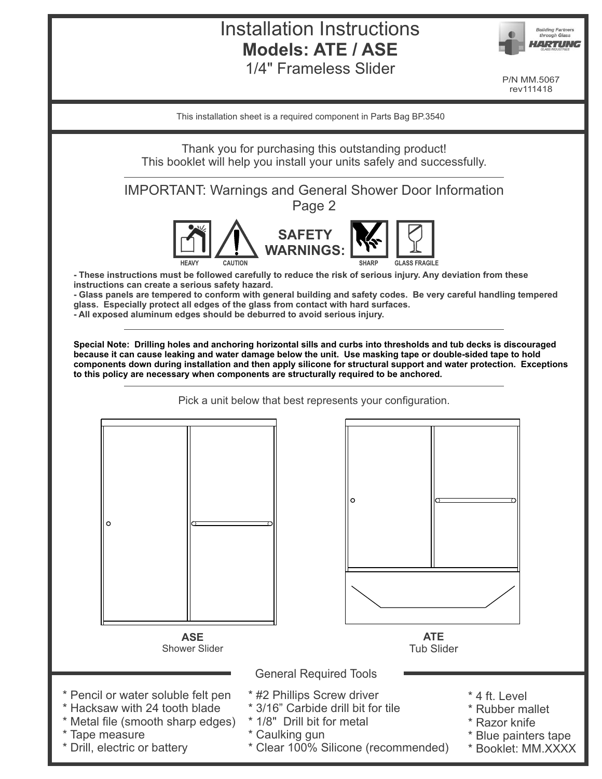# Installation Instructions **Models: ATE / ASE** 1/4" Frameless Slider



P/N MM.5067 rev111418

This installation sheet is a required component in Parts Bag BP.3540

Thank you for purchasing this outstanding product! This booklet will help you install your units safely and successfully.

IMPORTANT: Warnings and General Shower Door Information

Page 2



**- These instructions must be followed carefully to reduce the risk of serious injury. Any deviation from these instructions can create a serious safety hazard.**

**- Glass panels are tempered to conform with general building and safety codes. Be very careful handling tempered glass. Especially protect all edges of the glass from contact with hard surfaces.**

**- All exposed aluminum edges should be deburred to avoid serious injury.**

**Special Note: Drilling holes and anchoring horizontal sills and curbs into thresholds and tub decks is discouraged because it can cause leaking and water damage below the unit. Use masking tape or double-sided tape to hold components down during installation and then apply silicone for structural support and water protection. Exceptions to this policy are necessary when components are structurally required to be anchored.** 

Pick a unit below that best represents your configuration.

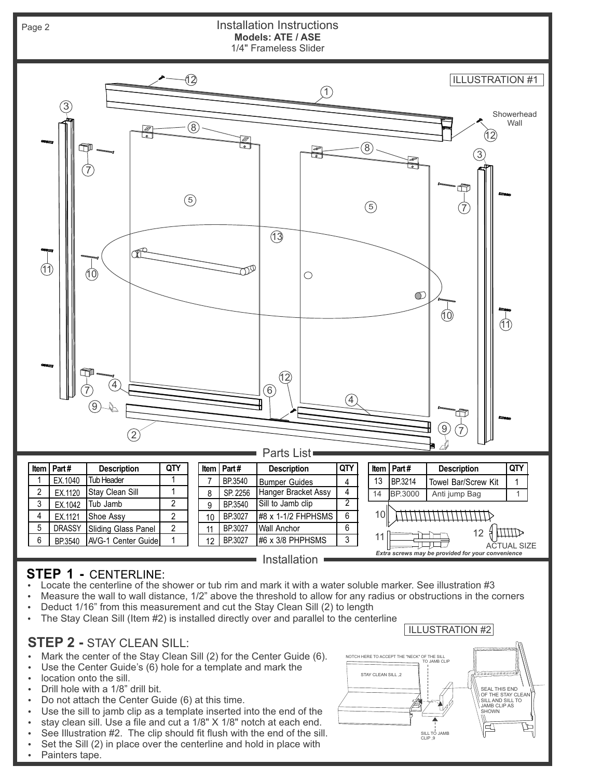

# **STEP 1 -** CENTERLINE:

- Locate the centerline of the shower or tub rim and mark it with a water soluble marker. See illustration #3
- Measure the wall to wall distance, 1/2" above the threshold to allow for any radius or obstructions in the corners
- Deduct 1/16" from this measurement and cut the Stay Clean Sill (2) to length
- $\cdot$  The Stay Clean Sill (Item  $#2$ ) is installed directly over and parallel to the centerline

## **STEP 2 -** STAY CLEAN SILL:

- Mark the center of the Stay Clean Sill (2) for the Center Guide (6).
- Use the Center Guide's (6) hole for a template and mark the
- location onto the sill.
- Drill hole with a 1/8" drill bit.
- Do not attach the Center Guide  $(6)$  at this time.
- Use the sill to jamb clip as a template inserted into the end of the
- stay clean sill. Use a file and cut a 1/8" X 1/8" notch at each end.
- See Illustration #2. The clip should fit flush with the end of the sill.
- $\cdot$  Set the Sill (2) in place over the centerline and hold in place with



Painters tape.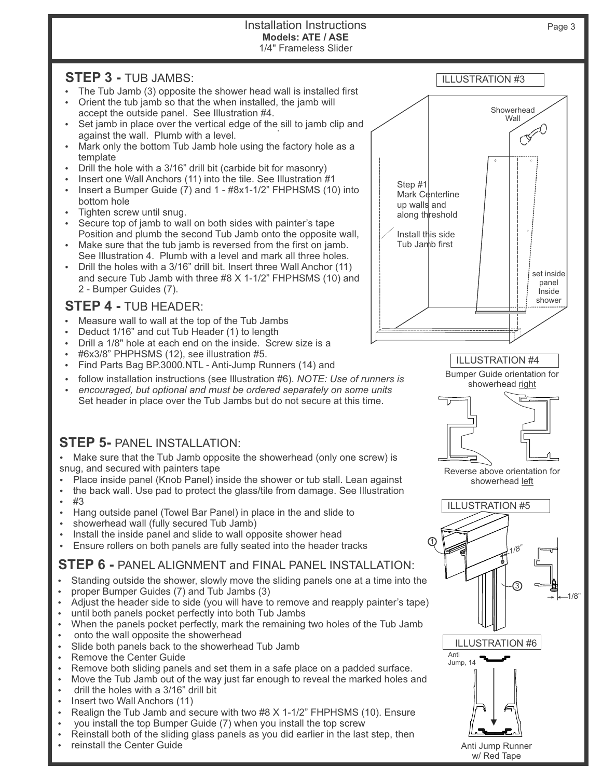#### Installation Instructions 1/4" Frameless Slider **Models: ATE / ASE**

#### **STEP 3 -** TUB JAMBS:

- The Tub Jamb (3) opposite the shower head wall is installed first Orient the tub jamb so that the when installed, the jamb will
- accept the outside panel. See Illustration #4.
- $\cdot$  Set jamb in place over the vertical edge of the sill to jamb clip and service is not be used. against the wall. Plumb with a level.
- Mark only the bottom Tub Jamb hole using the factory hole as a template
- Drill the hole with a 3/16" drill bit (carbide bit for masonry)
- Insert one Wall Anchors (11) into the tile. See Illustration #1
- Insert a Bumper Guide  $(7)$  and 1  $\#8x1-1/2$ " FHPHSMS  $(10)$  into bottom hole
- Ÿ Tighten screw until snug.
- Ÿ Secure top of jamb to wall on both sides with painter's tape Position and plumb the second Tub Jamb onto the opposite wall,
- Make sure that the tub jamb is reversed from the first on jamb. See Illustration 4. Plumb with a level and mark all three holes.
- Drill the holes with a 3/16" drill bit. Insert three Wall Anchor (11) and secure Tub Jamb with three #8 X 1-1/2" FHPHSMS (10) and 2 - Bumper Guides (7).

#### **STEP 4 -** TUB HEADER:

- Measure wall to wall at the top of the Tub Jambs
- Deduct 1/16" and cut Tub Header (1) to length
- Drill a 1/8" hole at each end on the inside. Screw size is a
- #6x3/8" PHPHSMS (12), see illustration #5.
- Find Parts Bag BP.3000.NTL Anti-Jump Runners (14) and
- follow installation instructions (see Illustration #6). *NOTE: Use of runners is*
- encouraged, but optional and must be ordered separately on some units Set header in place over the Tub Jambs but do not secure at this time.

## **STEP 5-** PANEL INSTALLATION:

• Make sure that the Tub Jamb opposite the showerhead (only one screw) is snug, and secured with painters tape

- Place inside panel (Knob Panel) inside the shower or tub stall. Lean against
- the back wall. Use pad to protect the glass/tile from damage. See Illustration  $#3$
- Hang outside panel (Towel Bar Panel) in place in the and slide to
- showerhead wall (fully secured Tub Jamb)
- Install the inside panel and slide to wall opposite shower head
- Ensure rollers on both panels are fully seated into the header tracks

#### **STEP 6 -** PANEL ALIGNMENT and FINAL PANEL INSTALLATION:

- Standing outside the shower, slowly move the sliding panels one at a time into the
- proper Bumper Guides (7) and Tub Jambs (3)
- Adjust the header side to side (you will have to remove and reapply painter's tape)
- until both panels pocket perfectly into both Tub Jambs
- When the panels pocket perfectly, mark the remaining two holes of the Tub Jamb
- onto the wall opposite the showerhead
- Slide both panels back to the showerhead Tub Jamb
- Remove the Center Guide
- Remove both sliding panels and set them in a safe place on a padded surface.
- Move the Tub Jamb out of the way just far enough to reveal the marked holes and
- drill the holes with a 3/16" drill bit
- Insert two Wall Anchors (11)
- Realign the Tub Jamb and secure with two  $#8 \times 1-1/2"$  FHPHSMS (10). Ensure
- you install the top Bumper Guide (7) when you install the top screw
- Reinstall both of the sliding glass panels as you did earlier in the last step, then
- reinstall the Center Guide